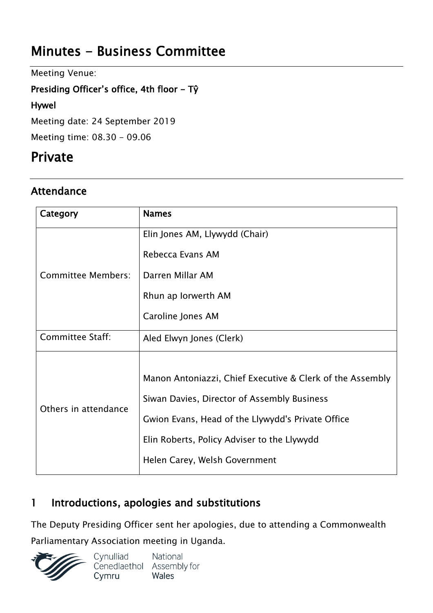# **Minutes - Business Committee**

Meeting Venue:

### **Presiding Officer's office, 4th floor - Tŷ**

#### **Hywel**

Meeting date: 24 September 2019

Meeting time: 08.30 - 09.06

## **Private**

## **Attendance**

| Category                | <b>Names</b>                                              |
|-------------------------|-----------------------------------------------------------|
| Committee Members:      | Elin Jones AM, Llywydd (Chair)                            |
|                         | Rebecca Evans AM                                          |
|                         | Darren Millar AM                                          |
|                         | Rhun ap Iorwerth AM                                       |
|                         | Caroline Jones AM                                         |
| <b>Committee Staff:</b> | Aled Elwyn Jones (Clerk)                                  |
| Others in attendance    |                                                           |
|                         | Manon Antoniazzi, Chief Executive & Clerk of the Assembly |
|                         | Siwan Davies, Director of Assembly Business               |
|                         | Gwion Evans, Head of the Llywydd's Private Office         |
|                         | Elin Roberts, Policy Adviser to the Llywydd               |
|                         | Helen Carey, Welsh Government                             |

## **1 Introductions, apologies and substitutions**

The Deputy Presiding Officer sent her apologies, due to attending a Commonwealth Parliamentary Association meeting in Uganda.

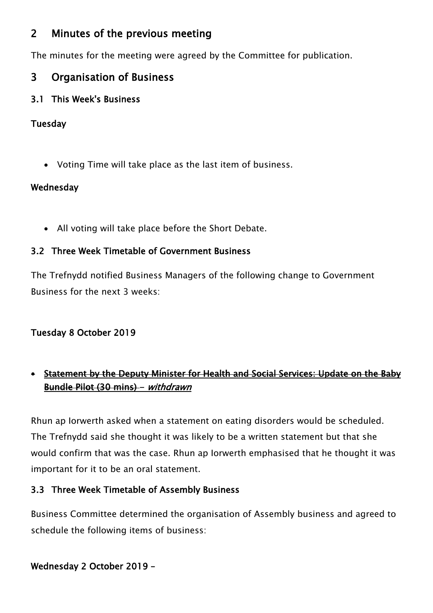## **2 Minutes of the previous meeting**

The minutes for the meeting were agreed by the Committee for publication.

## **3 Organisation of Business**

### **3.1 This Week's Business**

#### **Tuesday**

Voting Time will take place as the last item of business.

#### **Wednesday**

All voting will take place before the Short Debate.

### **3.2 Three Week Timetable of Government Business**

The Trefnydd notified Business Managers of the following change to Government Business for the next 3 weeks:

### **Tuesday 8 October 2019**

## **Statement by the Deputy Minister for Health and Social Services: Update on the Baby Bundle Pilot (30 mins) -** *withdrawn*

Rhun ap Iorwerth asked when a statement on eating disorders would be scheduled. The Trefnydd said she thought it was likely to be a written statement but that she would confirm that was the case. Rhun ap Iorwerth emphasised that he thought it was important for it to be an oral statement.

### **3.3 Three Week Timetable of Assembly Business**

Business Committee determined the organisation of Assembly business and agreed to schedule the following items of business:

### **Wednesday 2 October 2019 –**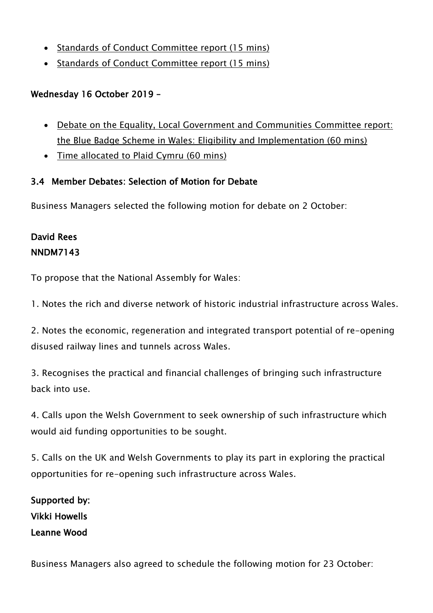- Standards of Conduct Committee report (15 mins)
- Standards of Conduct Committee report (15 mins)

## **Wednesday 16 October 2019 –**

- Debate on the Equality, Local Government and Communities Committee report: the Blue Badge Scheme in Wales: Eligibility and Implementation (60 mins)
- Time allocated to Plaid Cymru (60 mins)

## **3.4 Member Debates: Selection of Motion for Debate**

Business Managers selected the following motion for debate on 2 October:

## **David Rees NNDM7143**

To propose that the National Assembly for Wales:

1. Notes the rich and diverse network of historic industrial infrastructure across Wales.

2. Notes the economic, regeneration and integrated transport potential of re-opening disused railway lines and tunnels across Wales.

3. Recognises the practical and financial challenges of bringing such infrastructure back into use.

4. Calls upon the Welsh Government to seek ownership of such infrastructure which would aid funding opportunities to be sought.

5. Calls on the UK and Welsh Governments to play its part in exploring the practical opportunities for re-opening such infrastructure across Wales.

**Supported by: Vikki Howells Leanne Wood**

Business Managers also agreed to schedule the following motion for 23 October: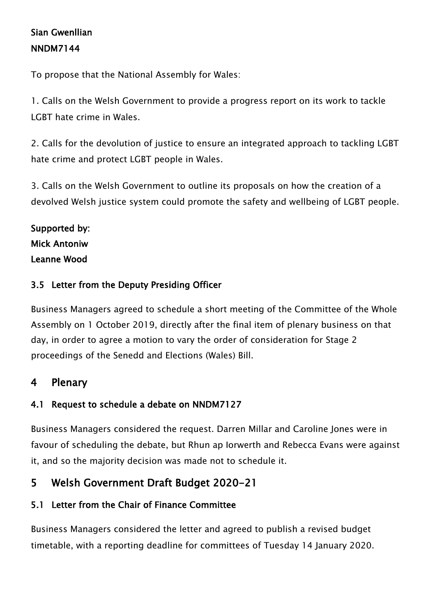## **Sian Gwenllian NNDM7144**

To propose that the National Assembly for Wales:

1. Calls on the Welsh Government to provide a progress report on its work to tackle LGBT hate crime in Wales.

2. Calls for the devolution of justice to ensure an integrated approach to tackling LGBT hate crime and protect LGBT people in Wales.

3. Calls on the Welsh Government to outline its proposals on how the creation of a devolved Welsh justice system could promote the safety and wellbeing of LGBT people.

## **Supported by: Mick Antoniw Leanne Wood**

### **3.5 Letter from the Deputy Presiding Officer**

Business Managers agreed to schedule a short meeting of the Committee of the Whole Assembly on 1 October 2019, directly after the final item of plenary business on that day, in order to agree a motion to vary the order of consideration for Stage 2 proceedings of the Senedd and Elections (Wales) Bill.

## **4 Plenary**

#### **4.1 Request to schedule a debate on NNDM7127**

Business Managers considered the request. Darren Millar and Caroline Jones were in favour of scheduling the debate, but Rhun ap Iorwerth and Rebecca Evans were against it, and so the majority decision was made not to schedule it.

## **5 Welsh Government Draft Budget 2020-21**

#### **5.1 Letter from the Chair of Finance Committee**

Business Managers considered the letter and agreed to publish a revised budget timetable, with a reporting deadline for committees of Tuesday 14 January 2020.